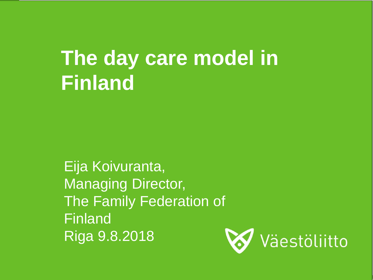# **The day care model in Finland**

Eija Koivuranta, Managing Director, The Family Federation of Finland Riga 9.8.2018

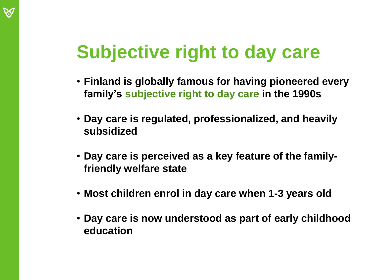## **Subjective right to day care**

- **Finland is globally famous for having pioneered every family's subjective right to day care in the 1990s**
- **Day care is regulated, professionalized, and heavily subsidized**
- **Day care is perceived as a key feature of the familyfriendly welfare state**
- **Most children enrol in day care when 1-3 years old**
- **Day care is now understood as part of early childhood education**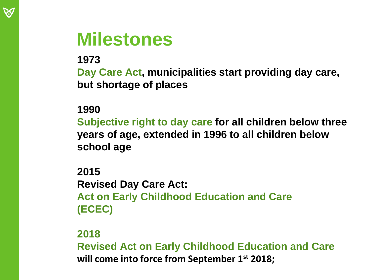#### **Milestones**

**1973**

**Day Care Act, municipalities start providing day care, but shortage of places** 

#### **1990**

**Subjective right to day care for all children below three years of age, extended in 1996 to all children below school age**

**2015 Revised Day Care Act: Act on Early Childhood Education and Care (ECEC)**

#### **2018**

**Revised Act on Early Childhood Education and Care will come into force from September 1st 2018;**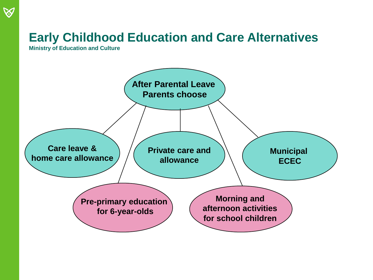#### **Early Childhood Education and Care Alternatives**

**Ministry of Education and Culture**

 $\bigotimes$ 

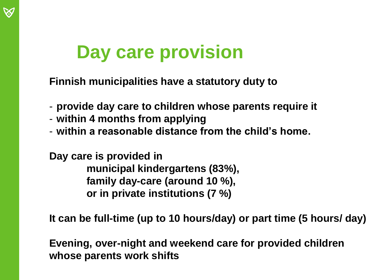### **Day care provision**

**Finnish municipalities have a statutory duty to**

- **provide day care to children whose parents require it**
- **within 4 months from applying**
- **within a reasonable distance from the child's home.**

**Day care is provided in municipal kindergartens (83%), family day-care (around 10 %), or in private institutions (7 %)**

**It can be full-time (up to 10 hours/day) or part time (5 hours/ day)**

**Evening, over-night and weekend care for provided children whose parents work shifts**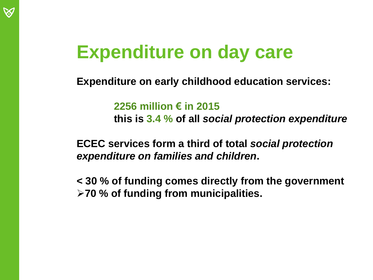## **Expenditure on day care**

**Expenditure on early childhood education services:**

**2256 million € in 2015**

**this is 3.4 % of all** *social protection expenditure*

**ECEC services form a third of total** *social protection expenditure on families and children***.** 

**< 30 % of funding comes directly from the government 70 % of funding from municipalities.**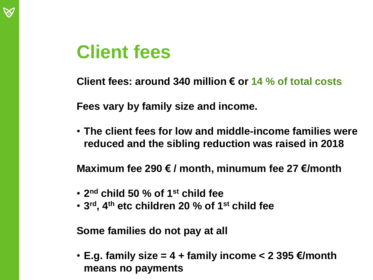

## **Client fees**

**Client fees: around 340 million € or 14 % of total costs**

**Fees vary by family size and income.**

• **The client fees for low and middle-income families were reduced and the sibling reduction was raised in 2018**

**Maximum fee 290 € / month, minumum fee 27 €/month**

- **2 nd child 50 % of 1st child fee**
- **3 rd, 4th etc children 20 % of 1st child fee**

**Some families do not pay at all**

• **E.g. family size = 4 + family income < 2 395 €/month means no payments**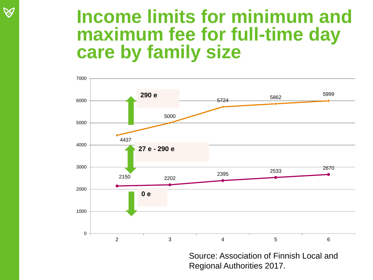#### **Income limits for minimum and maximum fee for full-time day care by family size**



Regional Authorities 2017.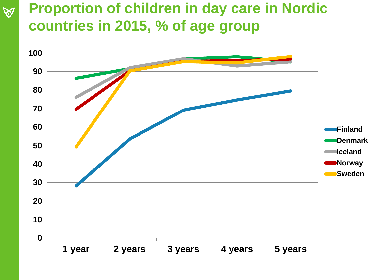#### **Proportion of children in day care in Nordic countries in 2015, % of age group**



 $\bigotimes$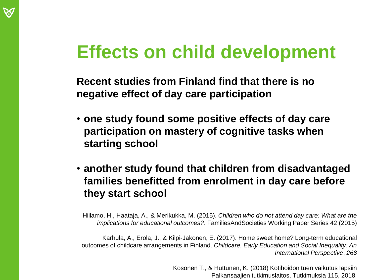

## **Effects on child development**

**Recent studies from Finland find that there is no negative effect of day care participation**

- **one study found some positive effects of day care participation on mastery of cognitive tasks when starting school**
- **another study found that children from disadvantaged families benefitted from enrolment in day care before they start school**

Hiilamo, H., Haataja, A., & Merikukka, M. (2015). *Children who do not attend day care: What are the implications for educational outcomes?*. FamiliesAndSocieties Working Paper Series 42 (2015)

Karhula, A., Erola, J., & Kilpi-Jakonen, E. (2017). Home sweet home? Long-term educational outcomes of childcare arrangements in Finland. *Childcare, Early Education and Social Inequality: An International Perspective*, *268*

> Kosonen T., & Huttunen, K. (2018) Kotihoidon tuen vaikutus lapsiin Palkansaajien tutkimuslaitos, Tutkimuksia 115, 2018.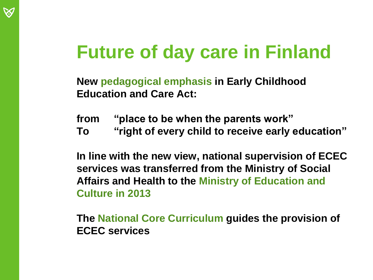## **Future of day care in Finland**

**New pedagogical emphasis in Early Childhood Education and Care Act:** 

**from "place to be when the parents work"** 

**To "right of every child to receive early education"**

**In line with the new view, national supervision of ECEC services was transferred from the Ministry of Social Affairs and Health to the Ministry of Education and Culture in 2013**

**The National Core Curriculum guides the provision of ECEC services**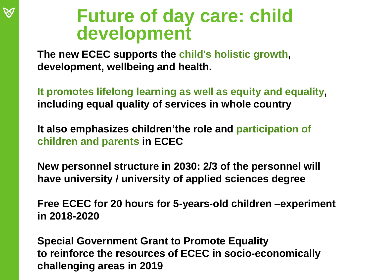#### **Future of day care: child development**

**The new ECEC supports the child's holistic growth, development, wellbeing and health.** 

**It promotes lifelong learning as well as equity and equality, including equal quality of services in whole country**

**It also emphasizes children'the role and participation of children and parents in ECEC** 

**New personnel structure in 2030: 2/3 of the personnel will have university / university of applied sciences degree**

**Free ECEC for 20 hours for 5-years-old children –experiment in 2018-2020**

**Special Government Grant to Promote Equality to reinforce the resources of ECEC in socio-economically challenging areas in 2019**